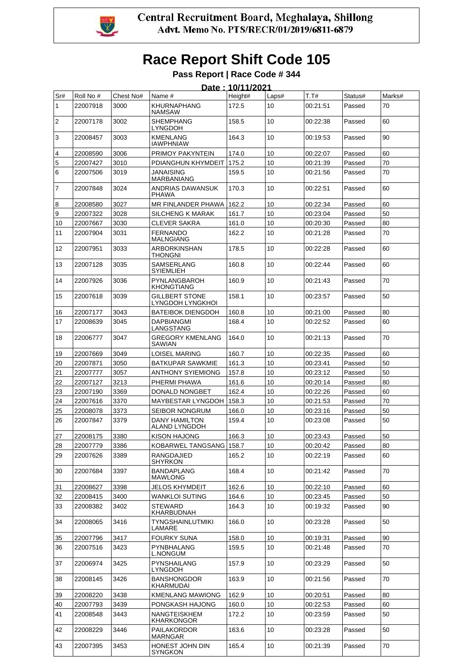

#### **Pass Report | Race Code # 344**

|                   |           |           |                                           | Date: 10/11/2021 |                  |          |         |        |
|-------------------|-----------|-----------|-------------------------------------------|------------------|------------------|----------|---------|--------|
| Sr#               | Roll No # | Chest No# | Name #                                    | Height#          | Laps#            | T.T#     | Status# | Marks# |
| 1                 | 22007918  | 3000      | <b>KHURNAPHANG</b><br><b>NAMSAW</b>       | 172.5            | 10               | 00:21:51 | Passed  | 70     |
| $\overline{2}$    | 22007178  | 3002      | <b>SHEMPHANG</b><br><b>LYNGDOH</b>        | 158.5            | 10               | 00:22:38 | Passed  | 60     |
| 3                 | 22008457  | 3003      | KMENLANG<br><b>IAWPHNIAW</b>              | 164.3            | 10               | 00:19:53 | Passed  | 90     |
| 4                 | 22008590  | 3006      | PRIMOY PAKYNTEIN                          | 174.0            | 10               | 00:22:07 | Passed  | 60     |
| 5                 | 22007427  | 3010      | PDIANGHUN KHYMDEIT                        | 175.2            | 10               | 00:21:39 | Passed  | 70     |
| 6                 | 22007506  | 3019      | <b>JANAISING</b><br><b>MARBANIANG</b>     | 159.5            | 10               | 00:21:56 | Passed  | 70     |
| $\overline{7}$    | 22007848  | 3024      | ANDRIAS DAWANSUK<br><b>PHAWA</b>          | 170.3            | 10               | 00:22:51 | Passed  | 60     |
| 8                 | 22008580  | 3027      | MR FINLANDER PHAWA                        | 162.2            | 10               | 00:22:34 | Passed  | 60     |
| 9                 | 22007322  | 3028      | <b>SILCHENG K MARAK</b>                   | 161.7            | 10               | 00:23:04 | Passed  | 50     |
| 10                | 22007667  | 3030      | CLEVER SAKRA                              | 161.0            | 10               | 00:20:30 | Passed  | 80     |
| 11                | 22007904  | 3031      | <b>FERNANDO</b><br><b>MALNGIANG</b>       | 162.2            | 10               | 00:21:28 | Passed  | 70     |
| $12 \overline{ }$ | 22007951  | 3033      | <b>ARBORKINSHAN</b><br>THONGNI            | 178.5            | 10               | 00:22:28 | Passed  | 60     |
| 13                | 22007128  | 3035      | SAMSERLANG<br>SYIEMLIEH                   | 160.8            | 10               | 00:22:44 | Passed  | 60     |
| 14                | 22007926  | 3036      | PYNLANGBAROH<br><b>KHONGTIANG</b>         | 160.9            | 10               | 00:21:43 | Passed  | 70     |
| 15                | 22007618  | 3039      | <b>GILLBERT STONE</b><br>LYNGDOH LYNGKHOI | 158.1            | 10               | 00:23:57 | Passed  | 50     |
| 16                | 22007177  | 3043      | <b>BATEIBOK DIENGDOH</b>                  | 160.8            | 10               | 00:21:00 | Passed  | 80     |
| 17                | 22008639  | 3045      | <b>DAPBIANGMI</b><br>LANGSTANG            | 168.4            | 10               | 00:22:52 | Passed  | 60     |
| 18                | 22006777  | 3047      | GREGORY KMENLANG<br>SAWIAN                | 164.0            | 10               | 00:21:13 | Passed  | 70     |
| 19                | 22007669  | 3049      | <b>LOISEL MARING</b>                      | 160.7            | 10               | 00:22:35 | Passed  | 60     |
| 20                | 22007871  | 3050      | <b>BATKUPAR SAWKMIE</b>                   | 161.3            | 10               | 00:23:41 | Passed  | 50     |
| 21                | 22007777  | 3057      | <b>ANTHONY SYIEMIONG</b>                  | 157.8            | 10               | 00:23:12 | Passed  | 50     |
| 22                | 22007127  | 3213      | PHERMI PHAWA                              | 161.6            | 10               | 00:20:14 | Passed  | 80     |
| 23                | 22007190  | 3369      | DONALD NONGBET                            | 162.4            | 10               | 00:22:26 | Passed  | 60     |
| 24                | 22007616  | 3370      | <b>MAYBESTAR LYNGDOH</b>                  | 158.3            | 10               | 00:21:53 | Passed  | 70     |
| 25                | 22008078  | 3373      | SEIBOR NONGRUM                            | 166.0            | 10               | 00:23:16 | Passed  | 50     |
| 26                | 22007847  | 3379      | <b>DANY HAMILTON</b><br>ALAND LYNGDOH     | 159.4            | 10               | 00:23:08 | Passed  | 50     |
| 27                | 22008175  | 3380      | <b>KISON HAJONG</b>                       | 166.3            | 10               | 00:23:43 | Passed  | 50     |
| 28                | 22007779  | 3386      | KOBARWEL TANGSANG 158.7                   |                  | 10               | 00:20:42 | Passed  | 80     |
| 29                | 22007626  | 3389      | RANGDAJIED<br><b>SHYRKON</b>              | 165.2            | 10               | 00:22:19 | Passed  | 60     |
| 30                | 22007684  | 3397      | <b>BANDAPLANG</b><br><b>MAWLONG</b>       | 168.4            | 10               | 00:21:42 | Passed  | 70     |
| 31                | 22008627  | 3398      | JELOS KHYMDEIT                            | 162.6            | 10               | 00:22:10 | Passed  | 60     |
| 32                | 22008415  | 3400      | WANKLOI SUTING                            | 164.6            | 10               | 00:23:45 | Passed  | 50     |
| 33                | 22008382  | 3402      | <b>STEWARD</b><br>KHARBUDNAH              | 164.3            | 10 <sup>10</sup> | 00:19:32 | Passed  | 90     |
| 34                | 22008065  | 3416      | TYNGSHAINLUTMIKI<br>LAMARE                | 166.0            | 10               | 00:23:28 | Passed  | 50     |
| 35                | 22007796  | 3417      | <b>FOURKY SUNA</b>                        | 158.0            | 10               | 00:19:31 | Passed  | 90     |
| 36                | 22007516  | 3423      | <b>PYNBHALANG</b><br>L.NONGUM             | 159.5            | 10               | 00:21:48 | Passed  | 70     |
| 37                | 22006974  | 3425      | <b>PYNSHAILANG</b><br>LYNGDOH             | 157.9            | 10 <sup>10</sup> | 00:23:29 | Passed  | 50     |
| 38                | 22008145  | 3426      | <b>BANSHONGDOR</b><br>KHARMUDAI           | 163.9            | 10               | 00:21:56 | Passed  | 70     |
| 39                | 22008220  | 3438      | <b>KMENLANG MAWIONG</b>                   | 162.9            | 10               | 00:20:51 | Passed  | 80     |
| 40                | 22007793  | 3439      | PONGKASH HAJONG                           | 160.0            | 10               | 00:22:53 | Passed  | 60     |
| 41                | 22008548  | 3443      | NANGTEISKHEM<br>KHARKONGOR                | 172.2            | 10               | 00:23:59 | Passed  | 50     |
| 42                | 22008229  | 3446      | <b>PAILAKORDOR</b><br>MARNGAR             | 163.6            | 10 <sup>1</sup>  | 00:23:28 | Passed  | 50     |
| 43                | 22007395  | 3453      | HONEST JOHN DIN<br><b>SYNGKON</b>         | 165.4            | 10               | 00:21:39 | Passed  | 70     |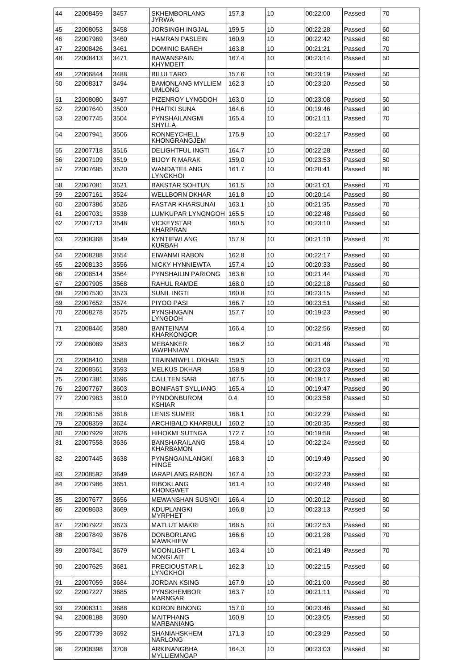| 44 | 22008459 | 3457 | <b>SKHEMBORLANG</b><br>JYRWA          | 157.3 | 10 | 00:22:00 | Passed | 70 |
|----|----------|------|---------------------------------------|-------|----|----------|--------|----|
| 45 | 22008053 | 3458 | JORSINGH INGJAL                       | 159.5 | 10 | 00:22:28 | Passed | 60 |
| 46 | 22007969 | 3460 | HAMRAN PASLEIN                        | 160.9 | 10 | 00:22:42 | Passed | 60 |
| 47 | 22008426 | 3461 | DOMINIC BAREH                         | 163.8 | 10 | 00:21:21 | Passed | 70 |
| 48 | 22008413 | 3471 | BAWANSPAIN<br><b>KHYMDEIT</b>         | 167.4 | 10 | 00:23:14 | Passed | 50 |
| 49 | 22006844 | 3488 | <b>BILUI TARO</b>                     | 157.6 | 10 | 00:23:19 | Passed | 50 |
| 50 | 22008317 | 3494 | <b>BAMONLANG MYLLIEM</b><br>UMLONG    | 162.3 | 10 | 00:23:20 | Passed | 50 |
| 51 | 22008080 | 3497 | PIZENROY LYNGDOH                      | 163.0 | 10 | 00:23:08 | Passed | 50 |
| 52 | 22007640 | 3500 | PHAITKI SUNA                          | 164.6 | 10 | 00:19:46 | Passed | 90 |
| 53 | 22007745 | 3504 | PYNSHAILANGMI                         | 165.4 | 10 | 00:21:11 | Passed | 70 |
| 54 | 22007941 | 3506 | SHYLLA<br>RONNEYCHELL                 | 175.9 | 10 | 00:22:17 | Passed | 60 |
|    |          |      | KHONGRANGJEM                          |       |    |          |        |    |
| 55 | 22007718 | 3516 | <b>DELIGHTFUL INGTI</b>               | 164.7 | 10 | 00:22:28 | Passed | 60 |
| 56 | 22007109 | 3519 | <b>BIJOY R MARAK</b>                  | 159.0 | 10 | 00:23:53 | Passed | 50 |
| 57 | 22007685 | 3520 | WANDATEILANG<br>LYNGKHOI              | 161.7 | 10 | 00:20:41 | Passed | 80 |
| 58 | 22007081 | 3521 | <b>BAKSTAR SOHTUN</b>                 | 161.5 | 10 | 00:21:01 | Passed | 70 |
| 59 | 22007161 | 3524 | WELLBORN DKHAR                        | 161.8 | 10 | 00:20:14 | Passed | 80 |
| 60 | 22007386 | 3526 | <b>FASTAR KHARSUNAI</b>               | 163.1 | 10 | 00:21:35 | Passed | 70 |
| 61 | 22007031 | 3538 | LUMKUPAR LYNGNGOH I                   | 165.5 | 10 | 00:22:48 | Passed | 60 |
| 62 | 22007712 | 3548 | VICKEYSTAR<br>KHARPRAN                | 160.5 | 10 | 00:23:10 | Passed | 50 |
| 63 | 22008368 | 3549 | KYNTIEWLANG<br><b>KURBAH</b>          | 157.9 | 10 | 00:21:10 | Passed | 70 |
| 64 | 22008288 | 3554 | EIWANMI RABON                         | 162.8 | 10 | 00:22:17 | Passed | 60 |
| 65 | 22008133 | 3556 | NICKY HYNNIEWTA                       | 157.4 | 10 | 00:20:33 | Passed | 80 |
| 66 | 22008514 | 3564 | <b>PYNSHAILIN PARIONG</b>             | 163.6 | 10 | 00:21:44 | Passed | 70 |
| 67 | 22007905 | 3568 | RAHUL RAMDE                           | 168.0 | 10 | 00:22:18 | Passed | 60 |
| 68 | 22007530 | 3573 | SUNIL INGTI                           | 160.8 | 10 | 00:23:15 | Passed | 50 |
| 69 | 22007652 | 3574 | PIYOO PASI                            | 166.7 | 10 | 00:23:51 | Passed | 50 |
| 70 | 22008278 | 3575 | PYNSHNGAIN<br>LYNGDOH                 | 157.7 | 10 | 00:19:23 | Passed | 90 |
| 71 | 22008446 | 3580 | <b>BANTEINAM</b><br><b>KHARKONGOR</b> | 166.4 | 10 | 00:22:56 | Passed | 60 |
| 72 | 22008089 | 3583 | MEBANKER<br><b>IAWPHNIAW</b>          | 166.2 | 10 | 00:21:48 | Passed | 70 |
| 73 | 22008410 | 3588 | TRAINMIWELL DKHAR                     | 159.5 | 10 | 00:21:09 | Passed | 70 |
| 74 | 22008561 | 3593 | <b>MELKUS DKHAR</b>                   | 158.9 | 10 | 00:23:03 | Passed | 50 |
| 75 | 22007381 | 3596 | <b>CALLTEN SARI</b>                   | 167.5 | 10 | 00:19:17 | Passed | 90 |
| 76 | 22007767 | 3603 | <b>BONIFAST SYLLIANG</b>              | 165.4 | 10 | 00:19:47 | Passed | 90 |
| 77 | 22007983 | 3610 | <b>PYNDONBUROM</b><br>KSHIAR          | 0.4   | 10 | 00:23:58 | Passed | 50 |
| 78 | 22008158 | 3618 | <b>LENIS SUMER</b>                    | 168.1 | 10 | 00:22:29 | Passed | 60 |
| 79 | 22008359 | 3624 | <b>ARCHIBALD KHARBULI</b>             | 160.2 | 10 | 00:20:35 | Passed | 80 |
| 80 | 22007929 | 3626 | <b>HIHOKMI SUTNGA</b>                 | 172.7 | 10 | 00:19:58 | Passed | 90 |
| 81 | 22007558 | 3636 | <b>BANSHARAILANG</b><br>KHARBAMON     | 158.4 | 10 | 00:22:24 | Passed | 60 |
| 82 | 22007445 | 3638 | PYNSNGAINLANGKI<br>HINGE              | 168.3 | 10 | 00:19:49 | Passed | 90 |
| 83 | 22008592 | 3649 | <b>IARAPLANG RABON</b>                | 167.4 | 10 | 00:22:23 | Passed | 60 |
| 84 | 22007986 | 3651 | <b>RIBOKLANG</b><br><b>KHONGWET</b>   | 161.4 | 10 | 00:22:48 | Passed | 60 |
| 85 | 22007677 | 3656 | <b>MEWANSHAN SUSNGI</b>               | 166.4 | 10 | 00:20:12 | Passed | 80 |
| 86 | 22008603 | 3669 | <b>KDUPLANGKI</b><br><b>MYRPHET</b>   | 166.8 | 10 | 00:23:13 | Passed | 50 |
| 87 | 22007922 | 3673 | <b>MATLUT MAKRI</b>                   | 168.5 | 10 | 00:22:53 | Passed | 60 |
| 88 | 22007849 | 3676 | DONBORLANG<br><b>MAWKHIEW</b>         | 166.6 | 10 | 00:21:28 | Passed | 70 |
| 89 | 22007841 | 3679 | <b>MOONLIGHT L</b><br>NONGLAIT        | 163.4 | 10 | 00:21:49 | Passed | 70 |
| 90 | 22007625 | 3681 | <b>PRECIOUSTAR L</b><br>LYNGKHOI      | 162.3 | 10 | 00:22:15 | Passed | 60 |
| 91 | 22007059 | 3684 | JORDAN KSING                          | 167.9 | 10 | 00:21:00 | Passed | 80 |
| 92 | 22007227 | 3685 | <b>PYNSKHEMBOR</b>                    | 163.7 | 10 | 00:21:11 | Passed | 70 |
|    |          |      | <b>MARNGAR</b>                        |       |    |          |        |    |
| 93 | 22008311 | 3688 | <b>KORON BINONG</b>                   | 157.0 | 10 | 00:23:46 | Passed | 50 |
| 94 | 22008188 | 3690 | <b>MAITPHANG</b><br>MARBANIANG        | 160.9 | 10 | 00:23:05 | Passed | 50 |
| 95 | 22007739 | 3692 | SHANIAHSKHEM<br><b>NARLONG</b>        | 171.3 | 10 | 00:23:29 | Passed | 50 |
| 96 | 22008398 | 3708 | ARKINANGBHA<br>MYLLIEMNGAP            | 164.3 | 10 | 00:23:03 | Passed | 50 |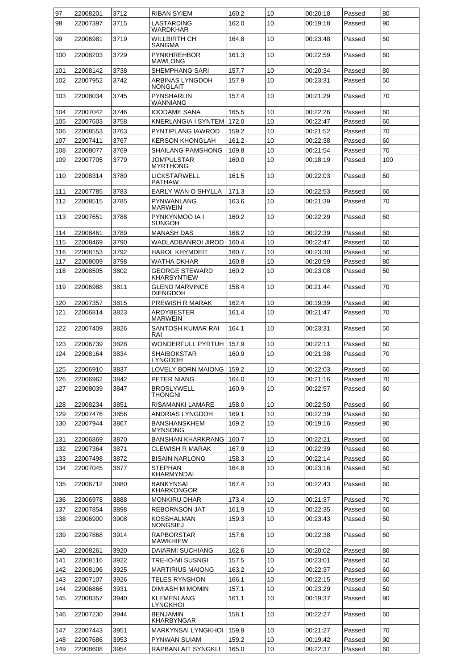| 97  | 22008201 | 3712 | <b>RIBAN SYIEM</b>                          | 160.2 | 10 | 00:20:18 | Passed | 80  |
|-----|----------|------|---------------------------------------------|-------|----|----------|--------|-----|
| 98  | 22007397 | 3715 | LASTARDING<br>WARDKHAR                      | 162.0 | 10 | 00:19:18 | Passed | 90  |
| 99  | 22006981 | 3719 | WILLBIRTH CH<br>SANGMA                      | 164.8 | 10 | 00:23:48 | Passed | 50  |
| 100 | 22008203 | 3729 | <b>PYNKHREHBOR</b><br>MAWLONG               | 161.3 | 10 | 00:22:59 | Passed | 60  |
| 101 | 22008142 | 3738 | SHEMPHANG SARI                              | 157.7 | 10 | 00:20:34 | Passed | 80  |
| 102 | 22007952 | 3742 | ARBINAS LYNGDOH<br><b>NONGLAIT</b>          | 157.9 | 10 | 00:23:31 | Passed | 50  |
| 103 | 22008034 | 3745 | <b>PYNSHARLIN</b><br>WANNIANG               | 157.4 | 10 | 00:21:29 | Passed | 70  |
| 104 | 22007042 | 3746 | <b>IOODAME SANA</b>                         | 165.5 | 10 | 00:22:26 | Passed | 60  |
| 105 | 22007603 | 3758 | <b>KNERLANGIA I SYNTEM</b>                  | 172.0 | 10 | 00:22:47 | Passed | 60  |
| 106 | 22008553 | 3763 | PYNTIPLANG IAWROD                           | 159.2 | 10 | 00:21:52 | Passed | 70  |
| 107 | 22007411 | 3767 | <b>KERSON KHONGLAH</b>                      | 161.2 | 10 | 00:22:38 | Passed | 60  |
| 108 | 22008077 | 3769 | SHAILANG PAMSHONG                           | 169.8 | 10 | 00:21:54 | Passed | 70  |
| 109 | 22007705 | 3779 | <b>JOMPULSTAR</b><br>MYRTHONG               | 160.0 | 10 | 00:18:19 | Passed | 100 |
| 110 | 22008314 | 3780 | LICKSTARWELL<br><b>PATHAW</b>               | 161.5 | 10 | 00:22:03 | Passed | 60  |
| 111 | 22007785 | 3783 | EARLY WAN O SHYLLA                          | 171.3 | 10 | 00:22:53 | Passed | 60  |
| 112 | 22008515 | 3785 | PYNWANLANG<br><b>MARWEIN</b>                | 163.6 | 10 | 00:21:39 | Passed | 70  |
| 113 | 22007651 | 3788 | PYNKYNMOO IA I<br>SUNGOH                    | 160.2 | 10 | 00:22:29 | Passed | 60  |
| 114 | 22008461 | 3789 | <b>MANASH DAS</b>                           | 168.2 | 10 | 00:22:39 | Passed | 60  |
| 115 | 22008469 | 3790 | WADLADBANROI JIROD                          | 160.4 | 10 | 00:22:47 | Passed | 60  |
| 116 | 22008153 | 3792 | <b>HAROL KHYMDEIT</b>                       | 160.7 | 10 | 00:23:30 | Passed | 50  |
| 117 | 22008009 | 3798 | WATHA DKHAR                                 | 160.8 | 10 | 00:20:59 | Passed | 80  |
| 118 | 22008505 | 3802 | <b>GEORGE STEWARD</b><br><b>KHARSYNTIEW</b> | 160.2 | 10 | 00:23:08 | Passed | 50  |
| 119 | 22006988 | 3811 | GLEND MARVINCE<br><b>DIENGDOH</b>           | 158.4 | 10 | 00:21:44 | Passed | 70  |
| 120 | 22007357 | 3815 | PREWISH R MARAK                             | 162.4 | 10 | 00:19:39 | Passed | 90  |
| 121 | 22006814 | 3823 | ARDYBESTER<br>MARWEIN                       | 161.4 | 10 | 00:21:47 | Passed | 70  |
| 122 | 22007409 | 3826 | SANTOSH KUMAR RAI<br>RAI                    | 164.1 | 10 | 00:23:31 | Passed | 50  |
| 123 | 22006739 | 3828 | WONDERFULL PYRTUH                           | 157.9 | 10 | 00:22:11 | Passed | 60  |
| 124 | 22008164 | 3834 | SHAIBOKSTAR<br>LYNGDOH                      | 160.9 | 10 | 00:21:38 | Passed | 70  |
| 125 | 22006910 | 3837 | LOVELY BORN MAIONG                          | 159.2 | 10 | 00:22:03 | Passed | 60  |
| 126 | 22006962 | 3842 | PETER NIANG                                 | 164.0 | 10 | 00:21:16 | Passed | 70  |
| 127 | 22008039 | 3847 | <b>BROSLYWELL</b><br>THONGNI                | 160.9 | 10 | 00:22:57 | Passed | 60  |
| 128 | 22008234 | 3851 | RISAMANKI LAMARE                            | 158.0 | 10 | 00:22:50 | Passed | 60  |
| 129 | 22007476 | 3856 | ANDRIAS LYNGDOH                             | 169.1 | 10 | 00:22:39 | Passed | 60  |
| 130 | 22007944 | 3867 | <b>BANSHANSKHEM</b><br><b>MYNSONG</b>       | 169.2 | 10 | 00:19:16 | Passed | 90  |
| 131 | 22006869 | 3870 | <b>BANSHAN KHARKRANG</b>                    | 160.7 | 10 | 00:22:21 | Passed | 60  |
| 132 | 22007364 | 3871 | CLEWISH R MARAK                             | 167.9 | 10 | 00:22:39 | Passed | 60  |
| 133 | 22007498 | 3872 | <b>BISAIN NARLONG</b>                       | 158.3 | 10 | 00:22:14 | Passed | 60  |
| 134 | 22007045 | 3877 | <b>STEPHAN</b><br>KHARMYNDAI                | 164.8 | 10 | 00:23:16 | Passed | 50  |
| 135 | 22006712 | 3880 | <b>BANKYNSAI</b><br>KHARKONGOR              | 167.4 | 10 | 00:22:43 | Passed | 60  |
| 136 | 22006978 | 3888 | MONKIRU DHAR                                | 173.4 | 10 | 00:21:37 | Passed | 70  |
| 137 | 22007854 | 3898 | <b>REBORNSON JAT</b>                        | 161.9 | 10 | 00:22:35 | Passed | 60  |
| 138 | 22006900 | 3908 | KOSSHALMAN<br><b>NONGSIEJ</b>               | 159.3 | 10 | 00:23:43 | Passed | 50  |
| 139 | 22007868 | 3914 | <b>RAPBORSTAR</b><br><b>MAWKHIEW</b>        | 157.6 | 10 | 00:22:38 | Passed | 60  |
| 140 | 22008261 | 3920 | <b>DAIARMI SUCHIANG</b>                     | 162.6 | 10 | 00:20:02 | Passed | 80  |
| 141 | 22008116 | 3922 | TRE-IO-MI SUSNGI                            | 157.5 | 10 | 00:23:01 | Passed | 50  |
| 142 | 22008196 | 3925 | <b>MARTIRIUS MAIONG</b>                     | 163.2 | 10 | 00:22:37 | Passed | 60  |
| 143 | 22007107 | 3926 | TELES RYNSHON                               | 166.1 | 10 | 00:22:15 | Passed | 60  |
| 144 | 22006866 | 3931 | DIMIASH M MOMIN                             | 157.1 | 10 | 00:23:29 | Passed | 50  |
| 145 | 22008357 | 3940 | <b>KLEMENLANG</b><br>LYNGKHOI               | 161.1 | 10 | 00:19:37 | Passed | 90  |
| 146 | 22007230 | 3944 | <b>BENJAMIN</b><br><b>KHARBYNGAR</b>        | 158.1 | 10 | 00:22:27 | Passed | 60  |
| 147 | 22007443 | 3951 | <b>MARKYNSAI LYNGKHOI</b>                   | 159.9 | 10 | 00:21:27 | Passed | 70  |
| 148 | 22007686 | 3953 | PYNWAN SUIAM                                | 159.2 | 10 | 00:19:42 | Passed | 90  |
| 149 | 22008608 | 3954 | RAPBANLAIT SYNGKLI                          | 165.0 | 10 | 00:22:37 | Passed | 60  |
|     |          |      |                                             |       |    |          |        |     |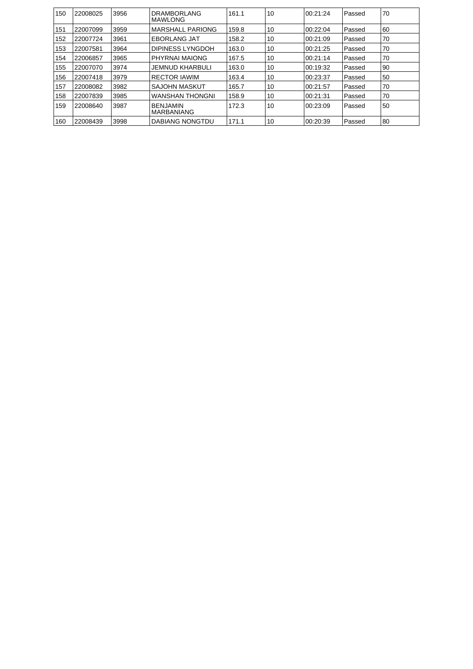| 150 | 22008025 | 3956 | <b>DRAMBORLANG</b><br>MAWLONG        | 161.1 | 10 | 00:21:24  | Passed | 70 |
|-----|----------|------|--------------------------------------|-------|----|-----------|--------|----|
| 151 | 22007099 | 3959 | <b>MARSHALL PARIONG</b>              | 159.8 | 10 | 00:22:04  | Passed | 60 |
| 152 | 22007724 | 3961 | <b>EBORLANG JAT</b>                  | 158.2 | 10 | 00:21:09  | Passed | 70 |
| 153 | 22007581 | 3964 | DIPINESS LYNGDOH                     | 163.0 | 10 | 00:21:25  | Passed | 70 |
| 154 | 22006857 | 3965 | PHYRNAI MAIONG                       | 167.5 | 10 | 00:21:14  | Passed | 70 |
| 155 | 22007070 | 3974 | <b>JEMNUD KHARBULI</b>               | 163.0 | 10 | 00:19:32  | Passed | 90 |
| 156 | 22007418 | 3979 | <b>RECTOR IAWIM</b>                  | 163.4 | 10 | 100:23:37 | Passed | 50 |
| 157 | 22008082 | 3982 | <b>SAJOHN MASKUT</b>                 | 165.7 | 10 | 100:21:57 | Passed | 70 |
| 158 | 22007839 | 3985 | <b>WANSHAN THONGNI</b>               | 158.9 | 10 | 100:21:31 | Passed | 70 |
| 159 | 22008640 | 3987 | <b>BENJAMIN</b><br><b>MARBANIANG</b> | 172.3 | 10 | 100:23:09 | Passed | 50 |
| 160 | 22008439 | 3998 | DABIANG NONGTDU                      | 171.1 | 10 | 00:20:39  | Passed | 80 |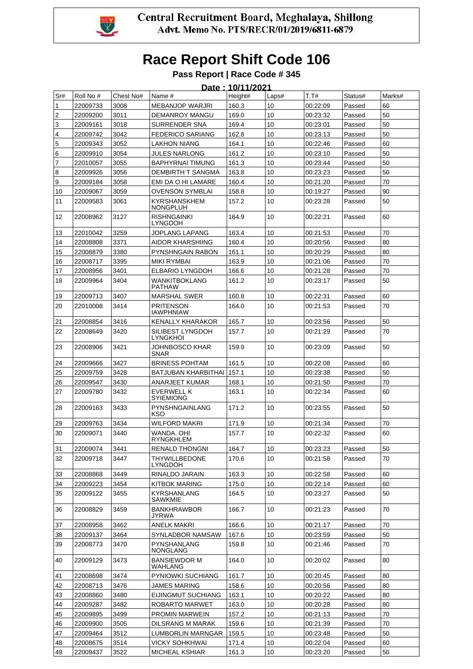

#### **Pass Report | Race Code # 345**

|          | Date: 10/11/2021     |              |                                                |                |                 |                      |                  |          |  |  |  |
|----------|----------------------|--------------|------------------------------------------------|----------------|-----------------|----------------------|------------------|----------|--|--|--|
| Sr#      | Roll No #            | Chest No#    | Name #                                         | Height#        | Laps#           | T.T#                 | Status#          | Marks#   |  |  |  |
| 1        | 22009733             | 3008         | <b>MEBANJOP WARJRI</b>                         | 160.3          | 10              | 00:22:09             | Passed           | 60       |  |  |  |
| 2        | 22009200             | 3011         | <b>DEMANROY MANGU</b>                          | 169.0          | 10              | 00:23:32             | Passed           | 50       |  |  |  |
| 3        | 22009161             | 3018         | <b>SURRENDER SNA</b>                           | 169.4          | 10              | 00:23:01             | Passed           | 50       |  |  |  |
| 4        | 22009742             | 3042         | <b>FEDERICO SARIANG</b>                        | 162.8          | 10              | 00:23:13             | Passed           | 50       |  |  |  |
| 5        | 22009343             | 3052         | <b>LAKHON NIANG</b>                            | 164.1          | 10              | 00:22:46             | Passed           | 60       |  |  |  |
| 6        | 22009910             | 3054         | JULES NARLONG                                  | 161.2          | 10              | 00:23:10             | Passed           | 50       |  |  |  |
| 7        | 22010057             | 3055         | <b>BAPHYRNAI TIMUNG</b>                        | 161.3          | 10              | 00:23:44             | Passed           | 50       |  |  |  |
| 8        | 22009926             | 3056         | <b>DEMBIRTH T SANGMA</b>                       | 163.8          | 10              | 00:23:23             | Passed           | 50       |  |  |  |
| 9        | 22009184             | 3058         | EMI DA O HI LAMARE<br><b>OVENSON SYMBLAI</b>   | 160.4          | 10              | 00:21:20             | Passed           | 70<br>90 |  |  |  |
| 10<br>11 | 22009067<br>22009583 | 3059<br>3061 | <b>KYRSHANSKHEM</b>                            | 158.8<br>157.2 | 10<br>10        | 00:19:27<br>00:23:28 | Passed<br>Passed | 50       |  |  |  |
| 12       |                      | 3127         | <b>NONGPLUH</b><br><b>RISHNGAINKI</b>          | 164.9          | 10              |                      |                  | 60       |  |  |  |
|          | 22008962             |              | LYNGDOH                                        |                |                 | 00:22:21             | Passed           |          |  |  |  |
| 13       | 22010042             | 3259         | JOPLANG LAPANG                                 | 163.4          | 10              | 00:21:53             | Passed           | 70       |  |  |  |
| 14       | 22008808             | 3371         | AIDOR KHARSHIING                               | 160.4          | 10              | 00:20:56             | Passed           | 80       |  |  |  |
| 15       | 22008879             | 3380         | PYNSHNGAIN RABON                               | 161.1          | 10              | 00:20:29             | Passed           | 80       |  |  |  |
| 16       | 22008717             | 3395         | <b>MIKI RYMBAI</b>                             | 163.9          | 10              | 00:21:06             | Passed           | 70       |  |  |  |
| 17<br>18 | 22008956<br>22009964 | 3401<br>3404 | <b>ELBARIO LYNGDOH</b><br><b>WANKITBOKLANG</b> | 166.6<br>161.2 | 10<br>10        | 00:21:28<br>00:23:17 | Passed<br>Passed | 70<br>50 |  |  |  |
|          |                      |              | <b>PATHAW</b>                                  |                |                 |                      |                  |          |  |  |  |
| 19       | 22009713             | 3407         | <b>MARSHAL SWER</b>                            | 160.8          | 10              | 00:22:31             | Passed           | 60       |  |  |  |
| 20       | 22010008             | 3414         | <b>PRITENSON</b><br><b>IAWPHNIAW</b>           | 164.0          | 10              | 00:21:53             | Passed           | 70       |  |  |  |
| 21       | 22008854             | 3416         | KENALLY KHARAKOR                               | 165.7          | 10              | 00:23:56             | Passed           | 50       |  |  |  |
| 22       | 22008649             | 3420         | SILIBEST LYNGDOH<br><b>LYNGKHOI</b>            | 157.7          | 10              | 00:21:29             | Passed           | 70       |  |  |  |
| 23       | 22008906             | 3421         | JOHNBOSCO KHAR<br><b>SNAR</b>                  | 159.9          | 10              | 00:23:09             | Passed           | 50       |  |  |  |
| 24       | 22009666             | 3427         | <b>BRINESS POHTAM</b>                          | 161.5          | 10              | 00:22:08             | Passed           | 60       |  |  |  |
| 25       | 22009759             | 3428         | BATJUBAN KHARBITHAI                            | 157.1          | 10              | 00:23:38             | Passed           | 50       |  |  |  |
| 26       | 22009547             | 3430         | ANARJEET KUMAR                                 | 168.1          | 10              | 00:21:50             | Passed           | 70       |  |  |  |
| 27       | 22009780             | 3432         | <b>EVERWELL K</b><br><b>SYIEMIONG</b>          | 163.1          | 10              | 00:22:34             | Passed           | 60       |  |  |  |
| 28       | 22009163             | 3433         | PYNSHNGAINLANG<br>KSO                          | 171.2          | 10              | 00:23:55             | Passed           | 50       |  |  |  |
| 29       | 22009763             | 3434         | <b>WILFORD MAKRI</b>                           | 171.9          | 10              | 00:21:34             | Passed           | 70       |  |  |  |
| 30       | 22009071             | 3440         | WANDA, OHI.<br>RYNGKHLEM                       | 157.7          | 10              | 00:22:32             | Passed           | 60       |  |  |  |
| 31       | 22009074             | 3441         | RENALD THONGNI                                 | 164.7          | 10              | 00:23:23             | Passed           | 50       |  |  |  |
| 32       | 22009718             | 3447         | <b>THYWILLBEDONE</b><br>LYNGDOH                | 170.6          | 10              | 00:21:58             | Passed           | 70       |  |  |  |
| 33       | 22008868             | 3449         | RINALDO JARAIN                                 | 163.3          | 10              | 00:22:58             | Passed           | 60       |  |  |  |
| 34       | 22009223             | 3454         | KITBOK MARING                                  | 175.0          | 10              | 00:22:14             | Passed           | 60       |  |  |  |
| 35       | 22009122             | 3455         | <b>KYRSHANLANG</b><br><b>SAWKMIE</b>           | 164.5          | 10              | 00:23:27             | Passed           | 50       |  |  |  |
| 36       | 22008829             | 3459         | <b>BANKHRAWBOR</b><br><b>JYRWA</b>             | 166.7          | 10 <sup>°</sup> | 00:21:23             | Passed           | 70       |  |  |  |
| 37       | 22008958             | 3462         | <b>ANELK MAKRI</b>                             | 166.6          | 10              | 00:21:17             | Passed           | 70       |  |  |  |
| 38       | 22009137             | 3464         | SYNLADBOR NAMSAW                               | 167.6          | 10              | 00:23:59             | Passed           | 50       |  |  |  |
| 39       | 22008773             | 3470         | <b>PYNSHANLANG</b><br>NONGLANG                 | 159.8          | 10 <sup>°</sup> | 00:21:46             | Passed           | 70       |  |  |  |
| 40       | 22009129             | 3473         | <b>BANSIEWDOR M</b><br>WAHLANG                 | 164.0          | 10              | 00:20:02             | Passed           | 80       |  |  |  |
| 41       | 22008698             | 3474         | <b>PYNIOWKI SUCHIANG</b>                       | 161.7          | 10              | 00:20:45             | Passed           | 80       |  |  |  |
| 42       | 22008713             | 3476         | <b>JAMES MARING</b>                            | 158.6          | 10              | 00:20:56             | Passed           | 80       |  |  |  |
| 43       | 22008860             | 3480         | EIJINGMUT SUCHIANG                             | 163.1          | 10              | 00:20:22             | Passed           | 80       |  |  |  |
| 44       | 22009287             | 3482         | ROBARTO MARWET                                 | 163.0          | 10              | 00:20:28             | Passed           | 80       |  |  |  |
| 45       | 22009895             | 3499         | <b>PROMIN MARWEIN</b>                          | 157.2          | 10              | 00:21:13             | Passed           | 70       |  |  |  |
| 46       | 22009900             | 3505         | DILSRANG M MARAK                               | 159.6          | 10              | 00:21:39             | Passed           | 70       |  |  |  |
| 47       | 22009464             | 3512         | LUMBORLIN MARNGAR                              | 159.5          | 10              | 00:23:48             | Passed           | 50       |  |  |  |
| 48       | 22008675             | 3514         | <b>VICKY SOHKHWAI</b>                          | 171.4          | 10              | 00:22:04             | Passed           | 60       |  |  |  |
| 49       | 22009437             | 3522         | MICHEAL KSHIAR                                 | 161.3          | 10              | 00:23:20             | Passed           | 50       |  |  |  |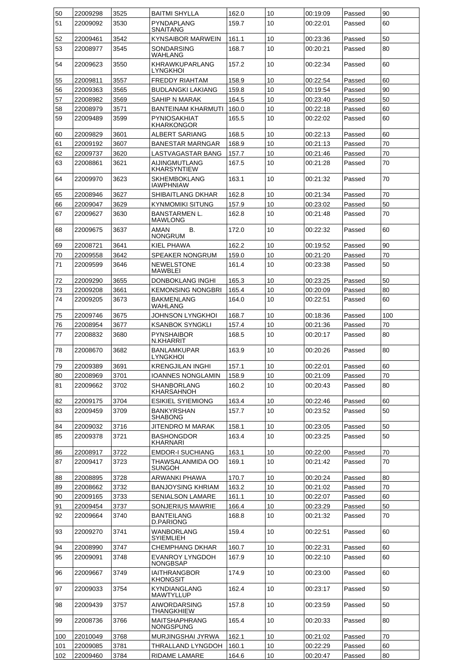| 50       | 22009298             | 3525         | <b>BAITMI SHYLLA</b>                      | 162.0          | 10              | 00:19:09             | Passed           | 90       |
|----------|----------------------|--------------|-------------------------------------------|----------------|-----------------|----------------------|------------------|----------|
| 51       | 22009092             | 3530         | <b>PYNDAPLANG</b><br>SNAITANG             | 159.7          | 10              | 00:22:01             | Passed           | 60       |
| 52       | 22009461             | 3542         | <b>KYNSAIBOR MARWEIN</b>                  | 161.1          | 10              | 00:23:36             | Passed           | 50       |
| 53       | 22008977             | 3545         | SONDARSING<br>WAHLANG                     | 168.7          | 10              | 00:20:21             | Passed           | 80       |
| 54       | 22009623             | 3550         | KHRAWKUPARLANG<br>LYNGKHOI                | 157.2          | 10              | 00:22:34             | Passed           | 60       |
| 55       | 22009811             | 3557         | <b>FREDDY RIAHTAM</b>                     | 158.9          | 10              | 00:22:54             | Passed           | 60       |
| 56       | 22009363             | 3565         | <b>BUDLANGKI LAKIANG</b>                  | 159.8          | 10              | 00:19:54             | Passed           | 90       |
| 57       | 22008982             | 3569         | SAHIP N MARAK                             | 164.5          | 10              | 00:23:40             | Passed           | 50       |
| 58       | 22008979             | 3571         | <b>BANTEINAM KHARMUTI</b>                 | 160.0          | 10              | 00:22:18             | Passed           | 60       |
| 59       | 22009489             | 3599         | <b>PYNIOSAKHIAT</b>                       | 165.5          | 10              | 00:22:02             | Passed           | 60       |
|          |                      |              | <b>KHARKONGOR</b>                         |                |                 |                      |                  |          |
| 60       | 22009829             | 3601         | ALBERT SARIANG                            | 168.5          | 10              | 00:22:13             | Passed           | 60       |
| 61       | 22009192             | 3607         | <b>BANESTAR MARNGAR</b>                   | 168.9          | 10              | 00:21:13             | Passed           | 70       |
| 62       | 22009737             | 3620         | LASTVAGASTAR BANG                         | 157.7          | 10              | 00:21:46             | Passed           | 70       |
| 63       | 22008861             | 3621         | AIJINGMUTLANG<br>KHARSYNTIEW              | 167.5          | 10              | 00:21:28             | Passed           | 70       |
| 64       | 22009970             | 3623         | <b>SKHEMBOKLANG</b><br><b>IAWPHNIAW</b>   | 163.1          | 10              | 00:21:32             | Passed           | 70       |
| 65       | 22008946             | 3627         | SHIBAITLANG DKHAR                         | 162.8          | 10              | 00:21:34             | Passed           | 70       |
| 66       | 22009047             | 3629         | <b>KYNMOMIKI SITUNG</b>                   | 157.9          | 10              | 00:23:02             | Passed           | 50       |
| 67       | 22009627             | 3630         | <b>BANSTARMEN L.</b><br><b>MAWLONG</b>    | 162.8          | 10              | 00:21:48             | Passed           | 70       |
| 68       | 22009675             | 3637         | AMAN<br>В.<br><b>NONGRUM</b>              | 172.0          | 10              | 00:22:32             | Passed           | 60       |
| 69       | 22008721             | 3641         | KIEL PHAWA                                | 162.2          | 10              | 00:19:52             | Passed           | 90       |
| 70       | 22009558             | 3642         | SPEAKER NONGRUM                           | 159.0          | 10              | 00:21:20             | Passed           | 70       |
| 71       | 22009599             | 3646         | <b>NEWELSTONE</b><br><b>MAWBLEI</b>       | 161.4          | 10              | 00:23:38             | Passed           | 50       |
| 72       | 22009290             | 3655         | DONBOKLANG INGHI                          | 165.3          | 10              | 00:23:25             | Passed           | 50       |
| 73       | 22009208             | 3661         | <b>KEMONSING NONGBRI</b>                  | 165.4          | 10              | 00:20:09             | Passed           | 80       |
| 74       | 22009205             | 3673         | <b>BAKMENLANG</b><br>WAHLANG              | 164.0          | 10              | 00:22:51             | Passed           | 60       |
| 75       | 22009746             | 3675         | JOHNSON LYNGKHOI                          | 168.7          | 10              | 00:18:36             | Passed           | 100      |
| 76       | 22008954             | 3677         | <b>KSANBOK SYNGKLI</b>                    | 157.4          | 10              | 00:21:36             | Passed           | 70       |
| 77       | 22008832             | 3680         | <b>PYNSHAIBOR</b><br>N.KHARRIT            | 168.5          | 10              | 00:20:17             | Passed           | 80       |
| 78       | 22008670             | 3682         | <b>BANLAMKUPAR</b><br>LYNGKHOI            | 163.9          | 10              | 00:20:26             | Passed           | 80       |
| 79       | 22009389             | 3691         | <b>KRENGJILAN INGHI</b>                   | 157.1          | 10              | 00:22:01             | Passed           | 60       |
| 80       | 22008969             | 3701         | <b>IOANNES NONGLAMIN</b>                  | 158.9          | 10              | 00:21:09             | Passed           | 70       |
| 81       | 22009662             | 3702         | SHANBORLANG<br>KHARSAHNOH                 | 160.2          | 10              | 00:20:43             | Passed           | 80       |
| 82       | 22009175             | 3704         | <b>ESIKIEL SYIEMIONG</b>                  | 163.4          | 10              | 00:22:46             | Passed           | 60       |
| 83       | 22009459             | 3709         | BANKYRSHAN<br><b>SHABONG</b>              | 157.7          | 10              | 00:23:52             | Passed           | 50       |
| 84       | 22009032             | 3716         | JITENDRO M MARAK                          | 158.1          | 10              | 00:23:05             | Passed           | 50       |
| 85       | 22009378             | 3721         | <b>BASHONGDOR</b><br>KHARNARI             | 163.4          | 10              | 00:23:25             | Passed           | 50       |
| 86       | 22008917             | 3722         | <b>EMDOR-I SUCHIANG</b>                   | 163.1          | 10              | 00:22:00             | Passed           | 70       |
| 87       | 22009417             | 3723         | THAWSALANMIDA OO<br><b>SUNGOH</b>         | 169.1          | 10              | 00:21:42             | Passed           | 70       |
| 88       | 22008895             | 3728         | ARWANKI PHAWA                             | 170.7          | 10              | 00:20:24             | Passed           | 80       |
| 89       | 22008662             | 3732         | <b>BANJOYSING KHRIAM</b>                  | 163.2          | 10              | 00:21:02             | Passed           | 70       |
| 90       | 22009165             | 3733         | <b>SENIALSON LAMARE</b>                   | 161.1          | 10              | 00:22:07             | Passed           | 60       |
| 91<br>92 | 22009454<br>22009664 | 3737<br>3740 | SONJERIUS MAWRIE<br><b>BANTEILANG</b>     | 166.4<br>168.8 | 10<br>10        | 00:23:29<br>00:21:32 | Passed<br>Passed | 50<br>70 |
| 93       | 22009270             | 3741         | D.PARIONG<br>WANBORLANG                   | 159.4          | 10              | 00:22:51             | Passed           | 60       |
| 94       | 22008990             | 3747         | <b>SYIEMLIEH</b><br>CHEMPHANG DKHAR       | 160.7          | 10              | 00:22:31             | Passed           | 60       |
| 95       | 22009091             | 3748         | <b>EVANROY LYNGDOH</b><br><b>NONGBSAP</b> | 167.9          | 10              | 00:22:10             | Passed           | 60       |
| 96       | 22009667             | 3749         | <b>IAITHRANGBOR</b><br><b>KHONGSIT</b>    | 174.9          | 10              | 00:23:00             | Passed           | 60       |
| 97       | 22009033             | 3754         | <b>KYNDIANGLANG</b><br><b>MAWTYLLUP</b>   | 162.4          | 10 <sup>°</sup> | 00:23:17             | Passed           | 50       |
| 98       | 22009439             | 3757         | <b>AIWORDARSING</b><br>THANGKHIEW         | 157.8          | 10 <sup>1</sup> | 00:23:59             | Passed           | 50       |
| 99       | 22008736             | 3766         | <b>MAITSHAPHRANG</b><br>NONGSPUNG         | 165.4          | 10              | 00:20:33             | Passed           | 80       |
| 100      | 22010049             | 3768         | <b>MURJINGSHAI JYRWA</b>                  | 162.1          | 10              | 00:21:02             | Passed           | 70       |
| 101      | 22009085             | 3781         | THRALLAND LYNGDOH                         | 160.1          | 10              | 00:22:29             | Passed           | 60       |
| 102      | 22009460             | 3784         | <b>RIDAME LAMARE</b>                      | 164.6          | 10              | 00:20:47             | Passed           | 80       |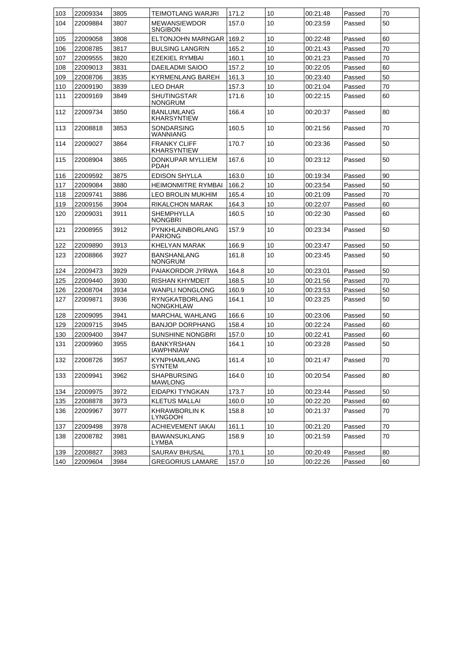| 103 | 22009334 | 3805 | TEIMOTLANG WARJRI                    | 171.2 | 10 | 00:21:48 | Passed | 70 |
|-----|----------|------|--------------------------------------|-------|----|----------|--------|----|
| 104 | 22009884 | 3807 | <b>MEWANSIEWDOR</b><br>SNGIBON       | 157.0 | 10 | 00:23:59 | Passed | 50 |
| 105 | 22009058 | 3808 | ELTONJOHN MARNGAR                    | 169.2 | 10 | 00:22:48 | Passed | 60 |
| 106 | 22008785 | 3817 | <b>BULSING LANGRIN</b>               | 165.2 | 10 | 00:21:43 | Passed | 70 |
| 107 | 22009555 | 3820 | EZEKIEL RYMBAI                       | 160.1 | 10 | 00:21:23 | Passed | 70 |
| 108 | 22009013 | 3831 | DAEILADMI SAIOO                      | 157.2 | 10 | 00:22:05 | Passed | 60 |
| 109 | 22008706 | 3835 | <b>KYRMENLANG BAREH</b>              | 161.3 | 10 | 00:23:40 | Passed | 50 |
| 110 | 22009190 | 3839 | <b>LEO DHAR</b>                      | 157.3 | 10 | 00:21:04 | Passed | 70 |
| 111 | 22009169 | 3849 | SHUTINGSTAR<br>NONGRUM               | 171.6 | 10 | 00:22:15 | Passed | 60 |
| 112 | 22009734 | 3850 | <b>BANLUMLANG</b><br>KHARSYNTIEW     | 166.4 | 10 | 00:20:37 | Passed | 80 |
| 113 | 22008818 | 3853 | SONDARSING<br>WANNIANG               | 160.5 | 10 | 00:21:56 | Passed | 70 |
| 114 | 22009027 | 3864 | <b>FRANKY CLIFF</b><br>KHARSYNTIEW   | 170.7 | 10 | 00:23:36 | Passed | 50 |
| 115 | 22008904 | 3865 | DONKUPAR MYLLIEM<br><b>PDAH</b>      | 167.6 | 10 | 00:23:12 | Passed | 50 |
| 116 | 22009592 | 3875 | <b>EDISON SHYLLA</b>                 | 163.0 | 10 | 00:19:34 | Passed | 90 |
| 117 | 22009084 | 3880 | <b>HEIMONMITRE RYMBAI</b>            | 166.2 | 10 | 00:23:54 | Passed | 50 |
| 118 | 22009741 | 3886 | <b>LEO BROLIN MUKHIM</b>             | 165.4 | 10 | 00:21:09 | Passed | 70 |
| 119 | 22009156 | 3904 | <b>RIKALCHON MARAK</b>               | 164.3 | 10 | 00:22:07 | Passed | 60 |
| 120 | 22009031 | 3911 | <b>SHEMPHYLLA</b><br>NONGBRI         | 160.5 | 10 | 00:22:30 | Passed | 60 |
| 121 | 22008955 | 3912 | PYNKHLAINBORLANG<br><b>PARIONG</b>   | 157.9 | 10 | 00:23:34 | Passed | 50 |
| 122 | 22009890 | 3913 | KHELYAN MARAK                        | 166.9 | 10 | 00:23:47 | Passed | 50 |
| 123 | 22008866 | 3927 | <b>BANSHANLANG</b><br><b>NONGRUM</b> | 161.8 | 10 | 00:23:45 | Passed | 50 |
| 124 | 22009473 | 3929 | PAIAKORDOR JYRWA                     | 164.8 | 10 | 00:23:01 | Passed | 50 |
| 125 | 22009440 | 3930 | RISHAN KHYMDEIT                      | 168.5 | 10 | 00:21:56 | Passed | 70 |
| 126 | 22008704 | 3934 | <b>WANPLI NONGLONG</b>               | 160.9 | 10 | 00:23:53 | Passed | 50 |
| 127 | 22009871 | 3936 | RYNGKATBORLANG<br>NONGKHLAW          | 164.1 | 10 | 00:23:25 | Passed | 50 |
| 128 | 22009095 | 3941 | <b>MARCHAL WAHLANG</b>               | 166.6 | 10 | 00:23:06 | Passed | 50 |
| 129 | 22009715 | 3945 | <b>BANJOP DORPHANG</b>               | 158.4 | 10 | 00:22:24 | Passed | 60 |
| 130 | 22009400 | 3947 | SUNSHINE NONGBRI                     | 157.0 | 10 | 00:22:41 | Passed | 60 |
| 131 | 22009960 | 3955 | BANKYRSHAN<br>IAWPHNIAW              | 164.1 | 10 | 00:23:28 | Passed | 50 |
| 132 | 22008726 | 3957 | KYNPHAMLANG<br><b>SYNTEM</b>         | 161.4 | 10 | 00:21:47 | Passed | 70 |
| 133 | 22009941 | 3962 | SHAPBURSING<br>MAWLONG               | 164.0 | 10 | 00:20:54 | Passed | 80 |
| 134 | 22009975 | 3972 | EIDAPKI TYNGKAN                      | 173.7 | 10 | 00:23:44 | Passed | 50 |
| 135 | 22008878 | 3973 | KLETUS MALLAI                        | 160.0 | 10 | 00:22:20 | Passed | 60 |
| 136 | 22009967 | 3977 | KHRAWBORLIN K<br>LYNGDOH             | 158.8 | 10 | 00:21:37 | Passed | 70 |
| 137 | 22009498 | 3978 | ACHIEVEMENT IAKAI                    | 161.1 | 10 | 00:21:20 | Passed | 70 |
| 138 | 22008782 | 3981 | <b>BAWANSUKLANG</b><br>LYMBA         | 158.9 | 10 | 00:21:59 | Passed | 70 |
| 139 | 22008827 | 3983 | SAURAV BHUSAL                        | 170.1 | 10 | 00:20:49 | Passed | 80 |
| 140 | 22009604 | 3984 | <b>GREGORIUS LAMARE</b>              | 157.0 | 10 | 00:22:26 | Passed | 60 |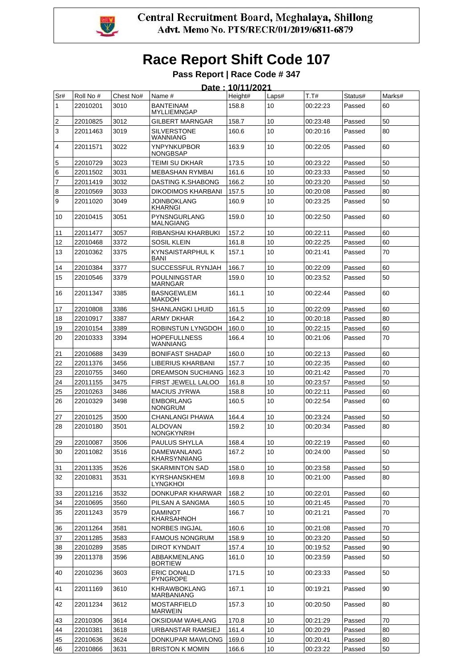

**Pass Report | Race Code # 347 Date : 10/11/2021** 

|     |           |           |                                      | <u> Date : 10/11/2021</u> |       |          |         |        |
|-----|-----------|-----------|--------------------------------------|---------------------------|-------|----------|---------|--------|
| Sr# | Roll No # | Chest No# | Name #                               | Height#                   | Laps# | T.T#     | Status# | Marks# |
| 1   | 22010201  | 3010      | <b>BANTEINAM</b><br>MYLLIEMNGAP      | 158.8                     | 10    | 00:22:23 | Passed  | 60     |
| 2   | 22010825  | 3012      | GILBERT MARNGAR                      | 158.7                     | 10    | 00:23:48 | Passed  | 50     |
| 3   | 22011463  | 3019      | <b>SILVERSTONE</b><br>WANNIANG       | 160.6                     | 10    | 00:20:16 | Passed  | 80     |
| 4   | 22011571  | 3022      | YNPYNKUPBOR<br>NONGBSAP              | 163.9                     | 10    | 00:22:05 | Passed  | 60     |
| 5   | 22010729  | 3023      | TEIMI SU DKHAR                       | 173.5                     | 10    | 00:23:22 | Passed  | 50     |
| 6   | 22011502  | 3031      | <b>MEBASHAN RYMBAI</b>               | 161.6                     | 10    | 00:23:33 | Passed  | 50     |
| 7   | 22011419  | 3032      | DASTING K.SHABONG                    | 166.2                     | 10    | 00:23:20 | Passed  | 50     |
| 8   | 22010569  | 3033      | DIKODIMOS KHARBANI                   | 157.5                     | 10    | 00:20:08 | Passed  | 80     |
| 9   | 22011020  | 3049      | <b>JOINBOKLANG</b><br>KHARNGI        | 160.9                     | 10    | 00:23:25 | Passed  | 50     |
| 10  | 22010415  | 3051      | PYNSNGURLANG<br>MALNGIANG            | 159.0                     | 10    | 00:22:50 | Passed  | 60     |
| 11  | 22011477  | 3057      | RIBANSHAI KHARBUKI                   | 157.2                     | 10    | 00:22:11 | Passed  | 60     |
| 12  | 22010468  | 3372      | SOSIL KLEIN                          | 161.8                     | 10    | 00:22:25 | Passed  | 60     |
| 13  | 22010362  | 3375      | KYNSAISTARPHUL K<br>BANI             | 157.1                     | 10    | 00:21:41 | Passed  | 70     |
| 14  | 22010384  | 3377      | SUCCESSFUL RYNJAH                    | 166.7                     | 10    | 00:22:09 | Passed  | 60     |
| 15  | 22010546  | 3379      | <b>POULNINGSTAR</b><br>MARNGAR       | 159.0                     | 10    | 00:23:52 | Passed  | 50     |
| 16  | 22011347  | 3385      | <b>BASNGEWLEM</b><br>MAKDOH          | 161.1                     | 10    | 00:22:44 | Passed  | 60     |
| 17  | 22010808  | 3386      | SHANLANGKI LHUID                     | 161.5                     | 10    | 00:22:09 | Passed  | 60     |
| 18  | 22010917  | 3387      | ARMY DKHAR                           | 164.2                     | 10    | 00:20:18 | Passed  | 80     |
| 19  | 22010154  | 3389      | ROBINSTUN LYNGDOH                    | 160.0                     | 10    | 00:22:15 | Passed  | 60     |
| 20  | 22010333  | 3394      | <b>HOPEFULLNESS</b><br>WANNIANG      | 166.4                     | 10    | 00:21:06 | Passed  | 70     |
| 21  | 22010688  | 3439      | <b>BONIFAST SHADAP</b>               | 160.0                     | 10    | 00:22:13 | Passed  | 60     |
| 22  | 22011376  | 3456      | LIBERIUS KHARBANI                    | 157.7                     | 10    | 00:22:35 | Passed  | 60     |
| 23  | 22010755  | 3460      | DREAMSON SUCHIANG                    | 162.3                     | 10    | 00:21:42 | Passed  | 70     |
| 24  | 22011155  | 3475      | FIRST JEWELL LALOO                   | 161.8                     | 10    | 00:23:57 | Passed  | 50     |
| 25  | 22010263  | 3486      | <b>MACIUS JYRWA</b>                  | 158.8                     | 10    | 00:22:11 | Passed  | 60     |
| 26  | 22010329  | 3498      | <b>EMBORLANG</b><br>NONGRUM          | 160.5                     | 10    | 00:22:54 | Passed  | 60     |
| 27  | 22010125  | 3500      | <b>CHANLANGI PHAWA</b>               | 164.4                     | 10    | 00:23:24 | Passed  | 50     |
| 28  | 22010180  | 3501      | <b>ALDOVAN</b><br>NONGKYNRIH         | 159.2                     | 10    | 00:20:34 | Passed  | 80     |
| 29  | 22010087  | 3506      | PAULUS SHYLLA                        | 168.4                     | $10$  | 00:22:19 | Passed  | 60     |
| 30  | 22011082  | 3516      | DAMEWANLANG<br>KHARSYNNIANG          | 167.2                     | 10    | 00:24:00 | Passed  | 50     |
| 31  | 22011335  | 3526      | <b>SKARMINTON SAD</b>                | 158.0                     | 10    | 00:23:58 | Passed  | 50     |
| 32  | 22010831  | 3531      | KYRSHANSKHEM<br>LYNGKHOI             | 169.8                     | 10    | 00:21:00 | Passed  | 80     |
| 33  | 22011216  | 3532      | DONKUPAR KHARWAR                     | 168.2                     | 10    | 00:22:01 | Passed  | 60     |
| 34  | 22010695  | 3560      | PILSAN A SANGMA                      | 160.5                     | 10    | 00:21:45 | Passed  | 70     |
| 35  | 22011243  | 3579      | DAMINOT<br>KHARSAHNOH                | 166.7                     | 10    | 00:21:21 | Passed  | 70     |
| 36  | 22011264  | 3581      | <b>NORBES INGJAL</b>                 | 160.6                     | 10    | 00:21:08 | Passed  | 70     |
| 37  | 22011285  | 3583      | <b>FAMOUS NONGRUM</b>                | 158.9                     | 10    | 00:23:20 | Passed  | 50     |
| 38  | 22010289  | 3585      | DIROT KYNDAIT                        | 157.4                     | 10    | 00:19:52 | Passed  | 90     |
| 39  | 22011378  | 3596      | ABBAKMENLANG<br><b>BORTIEW</b>       | 161.0                     | 10    | 00:23:59 | Passed  | 50     |
| 40  | 22010236  | 3603      | <b>ERIC DONALD</b><br>PYNGROPE       | 171.5                     | 10    | 00:23:33 | Passed  | 50     |
| 41  | 22011169  | 3610      | KHRAWBOKLANG<br>MARBANIANG           | 167.1                     | 10    | 00:19:21 | Passed  | 90     |
| 42  | 22011234  | 3612      | <b>MOSTARFIELD</b><br><b>MARWEIN</b> | 157.3                     | 10    | 00:20:50 | Passed  | 80     |
| 43  | 22010306  | 3614      | OKSIDIAM WAHLANG                     | 170.8                     | 10    | 00:21:29 | Passed  | 70     |
| 44  | 22010381  | 3618      | URBANSTAR RAMSIEJ                    | 161.4                     | 10    | 00:20:29 | Passed  | 80     |
| 45  | 22010636  | 3624      | DONKUPAR MAWLONG                     | 169.0                     | 10    | 00:20:41 | Passed  | 80     |
| 46  | 22010866  | 3631      | <b>BRISTON K MOMIN</b>               | 166.6                     | 10    | 00:23:22 | Passed  | 50     |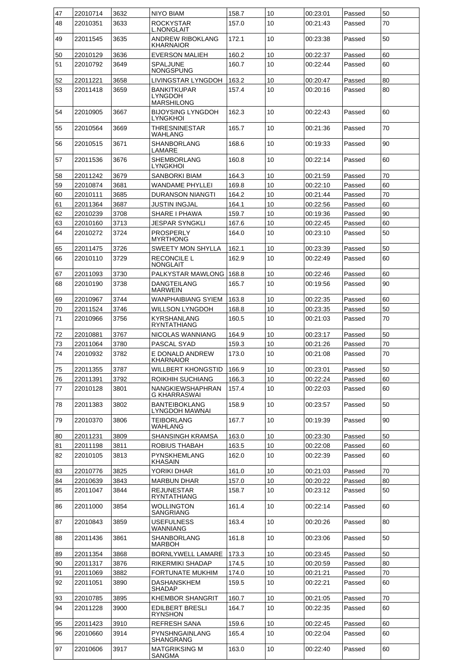| 47       | 22010714             | 3632         | <b>NIYO BIAM</b>                                   | 158.7          | 10       | 00:23:01             | Passed           | 50       |
|----------|----------------------|--------------|----------------------------------------------------|----------------|----------|----------------------|------------------|----------|
| 48       | 22010351             | 3633         | <b>ROCKYSTAR</b><br><b>L.NONGLAIT</b>              | 157.0          | 10       | 00:21:43             | Passed           | 70       |
| 49       | 22011545             | 3635         | <b>ANDREW RIBOKLANG</b><br><b>KHARNAIOR</b>        | 172.1          | 10       | 00:23:38             | Passed           | 50       |
| 50       | 22010129             | 3636         | <b>EVERSON MALIEH</b>                              | 160.2          | 10       | 00:22:37             | Passed           | 60       |
| 51       | 22010792             | 3649         | <b>SPALJUNE</b>                                    | 160.7          | 10       | 00:22:44             | Passed           | 60       |
|          |                      |              | <b>NONGSPUNG</b>                                   |                |          |                      |                  |          |
| 52       | 22011221             | 3658         | LIVINGSTAR LYNGDOH                                 | 163.2          | 10       | 00:20:47             | Passed           | 80       |
| 53       | 22011418             | 3659         | <b>BANKITKUPAR</b><br>LYNGDOH<br><b>MARSHILONG</b> | 157.4          | 10       | 00:20:16             | Passed           | 80       |
| 54       | 22010905             | 3667         | <b>BIJOYSING LYNGDOH</b><br><b>LYNGKHOI</b>        | 162.3          | 10       | 00:22:43             | Passed           | 60       |
| 55       | 22010564             | 3669         | THRESNINESTAR<br>WAHLANG                           | 165.7          | 10       | 00:21:36             | Passed           | 70       |
| 56       | 22010515             | 3671         | SHANBORLANG<br>LAMARE                              | 168.6          | 10       | 00:19:33             | Passed           | 90       |
| 57       | 22011536             | 3676         | <b>SHEMBORLANG</b><br>LYNGKHOI                     | 160.8          | 10       | 00:22:14             | Passed           | 60       |
| 58       | 22011242             | 3679         | SANBORKI BIAM                                      | 164.3          | 10       | 00:21:59             | Passed           | 70       |
| 59       | 22010874             | 3681         | <b>WANDAME PHYLLEI</b>                             | 169.8          | 10       | 00:22:10             | Passed           | 60       |
| 60       | 22010111             | 3685         | <b>DURANSON NIANGTI</b>                            | 164.2          | 10       | 00:21:44             | Passed           | 70       |
| 61       | 22011364             | 3687         | JUSTIN INGJAL                                      | 164.1          | 10       | 00:22:56             | Passed           | 60       |
| 62       | 22010239             | 3708         | SHARE I PHAWA                                      | 159.7          | 10       | 00:19:36             | Passed           | 90       |
| 63       | 22010160             | 3713         | <b>JESPAR SYNGKLI</b>                              | 167.6          | 10       | 00:22:45             | Passed           | 60       |
| 64       | 22010272             | 3724         | <b>PROSPERLY</b><br><b>MYRTHONG</b>                | 164.0          | 10       | 00:23:10             | Passed           | 50<br>50 |
| 65<br>66 | 22011475             | 3726<br>3729 | <b>SWEETY MON SHYLLA</b><br><b>RECONCILE L</b>     | 162.1<br>162.9 | 10<br>10 | 00:23:39<br>00:22:49 | Passed           | 60       |
|          | 22010110<br>22011093 | 3730         | NONGLAIT<br>PALKYSTAR MAWLONG                      | 168.8          | 10       | 00:22:46             | Passed<br>Passed | 60       |
| 67<br>68 | 22010190             | 3738         | DANGTEILANG                                        | 165.7          | 10       | 00:19:56             | Passed           | 90       |
|          |                      | 3744         | <b>MARWEIN</b>                                     |                |          |                      |                  | 60       |
| 69<br>70 | 22010967<br>22011524 | 3746         | WANPHAIBIANG SYIEM<br>WILLSON LYNGDOH              | 163.8<br>168.8 | 10<br>10 | 00:22:35<br>00:23:35 | Passed<br>Passed | 50       |
| 71       | 22010966             | 3756         | KYRSHANLANG                                        | 160.5          | 10       | 00:21:03             | Passed           | 70       |
| 72       | 22010881             | 3767         | <b>RYNTATHIANG</b><br>NICOLAS WANNIANG             | 164.9          | 10       | 00:23:17             | Passed           | 50       |
| 73       | 22011064             | 3780         | PASCAL SYAD                                        | 159.3          | 10       | 00:21:26             | Passed           | 70       |
| 74       | 22010932             | 3782         | E DONALD ANDREW<br><b>KHARNAIOR</b>                | 173.0          | 10       | 00:21:08             | Passed           | 70       |
| 75       | 22011355             | 3787         | WILLBERT KHONGSTID                                 | 166.9          | 10       | 00:23:01             | Passed           | 50       |
| 76       | 22011391             | 3792         | ROIKHIH SUCHIANG                                   | 166.3          | 10       | 00:22:24             | Passed           | 60       |
| 77       | 22010128             | 3801         | NANGKIEWSHAPHRAN<br>G KHARRASWAI                   | 157.4          | 10       | 00:22:03             | Passed           | 60       |
| 78       | 22011383             | 3802         | <b>BANTEIBOKLANG</b><br>LYNGDOH MAWNAI             | 158.9          | 10       | 00:23:57             | Passed           | 50       |
| 79       | 22010370             | 3806         | <b>TEIBORLANG</b><br>WAHLANG                       | 167.7          | 10       | 00:19:39             | Passed           | 90       |
| 80       | 22011231             | 3809         | SHANSINGH KRAMSA                                   | 163.0          | 10       | 00:23:30             | Passed           | 50       |
| 81       | 22011198             | 3811         | ROBIUS THABAH                                      | 163.5          | 10       | 00:22:08             | Passed           | 60       |
| 82       | 22010105             | 3813         | PYNSKHEMLANG<br>KHASAIN                            | 162.0          | 10       | 00:22:39             | Passed           | 60       |
| 83       | 22010776             | 3825         | YORIKI DHAR                                        | 161.0          | 10       | 00:21:03             | Passed           | 70       |
| 84       | 22010639             | 3843         | <b>MARBUN DHAR</b>                                 | 157.0          | 10       | 00:20:22             | Passed           | 80       |
| 85       | 22011047             | 3844         | <b>REJUNESTAR</b><br>RYNTATHIANG                   | 158.7          | 10       | 00:23:12             | Passed           | 50       |
| 86       | 22011000             | 3854         | WOLLINGTON<br>SANGRIANG                            | 161.4          | 10       | 00:22:14             | Passed           | 60       |
| 87       | 22010843             | 3859         | <b>USEFULNESS</b><br>WANNIANG                      | 163.4          | 10       | 00:20:26             | Passed           | 80       |
| 88       | 22011436             | 3861         | <b>SHANBORLANG</b><br>MARBOH                       | 161.8          | 10       | 00:23:06             | Passed           | 50       |
| 89       | 22011354             | 3868         | BORNLYWELL LAMARE                                  | 173.3          | 10       | 00:23:45             | Passed           | 50       |
| 90<br>91 | 22011317<br>22011069 | 3876<br>3882 | RIKERMIKI SHADAP<br>FORTUNATE MUKHIM               | 174.5<br>174.0 | 10<br>10 | 00:20:59<br>00:21:21 | Passed<br>Passed | 80<br>70 |
| 92       | 22011051             | 3890         | DASHANSKHEM                                        | 159.5          | 10       | 00:22:21             | Passed           | 60       |
|          |                      | 3895         | SHADAP                                             |                |          |                      |                  | 70       |
| 93<br>94 | 22010785<br>22011228 | 3900         | <b>KHEMBOR SHANGRIT</b><br>EDILBERT BRESLI         | 160.7<br>164.7 | 10<br>10 | 00:21:05<br>00:22:35 | Passed<br>Passed | 60       |
| 95       | 22011423             | 3910         | <b>RYNSHON</b><br>REFRESH SANA                     | 159.6          | 10       | 00:22:45             | Passed           | 60       |
| 96       | 22010660             | 3914         | PYNSHNGAINLANG                                     | 165.4          | 10       | 00:22:04             | Passed           | 60       |
| 97       | 22010606             | 3917         | SHANGRANG<br><b>MATGRIKSING M</b>                  | 163.0          | 10       | 00:22:40             | Passed           | 60       |
|          |                      |              | SANGMA                                             |                |          |                      |                  |          |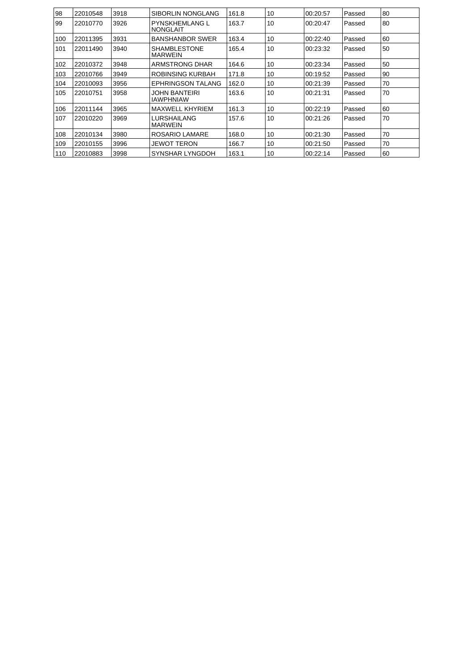| 98  | 22010548 | 3918 | <b>SIBORLIN NONGLANG</b>                  | 161.8 | 10 | 00:20:57 | Passed | 80 |
|-----|----------|------|-------------------------------------------|-------|----|----------|--------|----|
| 99  | 22010770 | 3926 | <b>PYNSKHEMLANG L</b><br><b>INONGLAIT</b> | 163.7 | 10 | 00:20:47 | Passed | 80 |
| 100 | 22011395 | 3931 | <b>BANSHANBOR SWER</b>                    | 163.4 | 10 | 00.22:40 | Passed | 60 |
| 101 | 22011490 | 3940 | <b>SHAMBLESTONE</b><br><b>MARWEIN</b>     | 165.4 | 10 | 00:23:32 | Passed | 50 |
| 102 | 22010372 | 3948 | ARMSTRONG DHAR                            | 164.6 | 10 | 00:23:34 | Passed | 50 |
| 103 | 22010766 | 3949 | <b>ROBINSING KURBAH</b>                   | 171.8 | 10 | 00:19:52 | Passed | 90 |
| 104 | 22010093 | 3956 | <b>EPHRINGSON TALANG</b>                  | 162.0 | 10 | 00:21:39 | Passed | 70 |
| 105 | 22010751 | 3958 | JOHN BANTEIRI<br><b>IAWPHNIAW</b>         | 163.6 | 10 | 00:21:31 | Passed | 70 |
| 106 | 22011144 | 3965 | <b>MAXWELL KHYRIEM</b>                    | 161.3 | 10 | 00:22:19 | Passed | 60 |
| 107 | 22010220 | 3969 | LURSHAILANG<br><b>IMARWEIN</b>            | 157.6 | 10 | 00:21:26 | Passed | 70 |
| 108 | 22010134 | 3980 | <b>ROSARIO LAMARE</b>                     | 168.0 | 10 | 00:21:30 | Passed | 70 |
| 109 | 22010155 | 3996 | <b>JEWOT TERON</b>                        | 166.7 | 10 | 00:21:50 | Passed | 70 |
| 110 | 22010883 | 3998 | SYNSHAR LYNGDOH                           | 163.1 | 10 | 00:22:14 | Passed | 60 |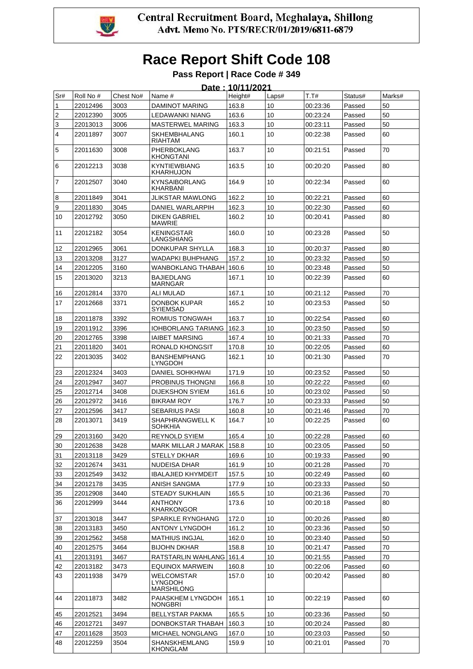

#### **Pass Report | Race Code # 349**

|                |           |           |                                     | Date: 10/11/2021 |       |          |         |        |
|----------------|-----------|-----------|-------------------------------------|------------------|-------|----------|---------|--------|
| Sr#            | Roll No # | Chest No# | Name #                              | Height#          | Laps# | T.T#     | Status# | Marks# |
| 1              | 22012496  | 3003      | DAMINOT MARING                      | 163.8            | 10    | 00:23:36 | Passed  | 50     |
| $\overline{c}$ | 22012390  | 3005      | LEDAWANKI NIANG                     | 163.6            | 10    | 00:23:24 | Passed  | 50     |
| 3              | 22013013  | 3006      | <b>MASTERWEL MARING</b>             | 163.3            | 10    | 00:23:11 | Passed  | 50     |
| 4              | 22011897  | 3007      | <b>SKHEMBHALANG</b><br>RIAHTAM      | 160.1            | 10    | 00:22:38 | Passed  | 60     |
| 5              | 22011630  | 3008      | PHERBOKLANG<br>KHONGTANI            | 163.7            | 10    | 00:21:51 | Passed  | 70     |
| 6              | 22012213  | 3038      | KYNTIEWBIANG<br>KHARHUJON           | 163.5            | 10    | 00:20:20 | Passed  | 80     |
| 7              | 22012507  | 3040      | <b>KYNSAIBORLANG</b><br>KHARBANI    | 164.9            | 10    | 00:22:34 | Passed  | 60     |
| 8              | 22011849  | 3041      | JLIKSTAR MAWLONG                    | 162.2            | 10    | 00:22:21 | Passed  | 60     |
| 9              | 22011830  | 3045      | DANIEL WARLARPIH                    | 162.3            | 10    | 00:22:30 | Passed  | 60     |
| 10             | 22012792  | 3050      | <b>DIKEN GABRIEL</b><br>MAWRIE      | 160.2            | 10    | 00:20:41 | Passed  | 80     |
| 11             | 22012182  | 3054      | KENINGSTAR<br>LANGSHIANG            | 160.0            | 10    | 00:23:28 | Passed  | 50     |
| 12             | 22012965  | 3061      | DONKUPAR SHYLLA                     | 168.3            | 10    | 00:20:37 | Passed  | 80     |
| 13             | 22013208  | 3127      | WADAPKI BUHPHANG                    | 157.2            | 10    | 00:23:32 | Passed  | 50     |
| 14             | 22012205  | 3160      | WANBOKLANG THABAH                   | 160.6            | 10    | 00:23:48 | Passed  | 50     |
| 15             | 22013020  | 3213      | <b>BAJIEDLANG</b><br>MARNGAR        | 167.1            | 10    | 00:22:39 | Passed  | 60     |
| 16             | 22012814  | 3370      | ALI MULAD                           | 167.1            | 10    | 00:21:12 | Passed  | 70     |
| 17             | 22012668  | 3371      | DONBOK KUPAR<br>SYIEMSAD            | 165.2            | 10    | 00:23:53 | Passed  | 50     |
| 18             | 22011878  | 3392      | ROMIUS TONGWAH                      | 163.7            | 10    | 00:22:54 | Passed  | 60     |
| 19             | 22011912  | 3396      | <b>IOHBORLANG TARIANG</b>           | 162.3            | 10    | 00:23:50 | Passed  | 50     |
| 20             | 22012765  | 3398      | <b>IAIBET MARSING</b>               | 167.4            | 10    | 00:21:33 | Passed  | 70     |
| 21             | 22011820  | 3401      | RONALD KHONGSIT                     | 170.8            | 10    | 00:22:05 | Passed  | 60     |
| 22             | 22013035  | 3402      | <b>BANSHEMPHANG</b><br>LYNGDOH      | 162.1            | 10    | 00:21:30 | Passed  | 70     |
| 23             | 22012324  | 3403      | <b>DANIEL SOHKHWAI</b>              | 171.9            | 10    | 00:23:52 | Passed  | 50     |
| 24             | 22012947  | 3407      | <b>PROBINUS THONGNI</b>             | 166.8            | 10    | 00:22:22 | Passed  | 60     |
| 25             | 22012714  | 3408      | <b>DIJEKSHON SYIEM</b>              | 161.6            | 10    | 00:23:02 | Passed  | 50     |
| 26             | 22012972  | 3416      | <b>BIKRAM ROY</b>                   | 176.7            | 10    | 00:23:33 | Passed  | 50     |
| 27             | 22012596  | 3417      | <b>SEBARIUS PASI</b>                | 160.8            | 10    | 00:21:46 | Passed  | 70     |
| 28             | 22013071  | 3419      | SHAPHRANGWELL K<br>SOHKHIA          | 164.7            | 10    | 00:22:25 | Passed  | 60     |
| 29             | 22013160  | 3420      | <b>REYNOLD SYIEM</b>                | 165.4            | 10    | 00:22:28 | Passed  | 60     |
| 30             | 22012638  | 3428      | MARK MILLAR J MARAK 158.8           |                  | 10    | 00:23:05 | Passed  | 50     |
| 31             | 22013118  | 3429      | <b>STELLY DKHAR</b>                 | 169.6            | 10    | 00:19:33 | Passed  | 90     |
| 32             | 22012674  | 3431      | NUDEISA DHAR                        | 161.9            | 10    | 00:21:28 | Passed  | 70     |
| 33             | 22012549  | 3432      | <b>IBALAJIED KHYMDEIT</b>           | 157.5            | 10    | 00:22:49 | Passed  | 60     |
| 34             | 22012178  | 3435      | ANISH SANGMA                        | 177.9            | 10    | 00:23:33 | Passed  | 50     |
| 35             | 22012908  | 3440      | <b>STEADY SUKHLAIN</b>              | 165.5            | 10    | 00:21:36 | Passed  | 70     |
| 36             | 22012999  | 3444      | ANTHONY<br>KHARKONGOR               | 173.6            | 10    | 00:20:18 | Passed  | 80     |
| 37             | 22013018  | 3447      | SPARKLE RYNGHANG                    | 172.0            | 10    | 00:20:26 | Passed  | 80     |
| 38             | 22013183  | 3450      | <b>ANTONY LYNGDOH</b>               | 161.2            | 10    | 00:23:36 | Passed  | 50     |
| 39             | 22012562  | 3458      | <b>MATHIUS INGJAL</b>               | 162.0            | 10    | 00:23:40 | Passed  | 50     |
| 40             | 22012575  | 3464      | <b>BIJOHN DKHAR</b>                 | 158.8            | 10    | 00:21:47 | Passed  | 70     |
| 41             | 22013191  | 3467      | RATSTARLIN WAHLANG 161.4            |                  | 10    | 00:21:55 | Passed  | 70     |
| 42             | 22013182  | 3473      | EQUINOX MARWEIN                     | 160.8            | 10    | 00:22:06 | Passed  | 60     |
| 43             | 22011938  | 3479      | WELCOMSTAR<br>LYNGDOH<br>MARSHILONG | 157.0            | 10    | 00:20:42 | Passed  | 80     |
| 44             | 22011873  | 3482      | PAIASKHEM LYNGDOH<br>NONGBRI        | 165.1            | 10    | 00:22:19 | Passed  | 60     |
| 45             | 22012521  | 3494      | <b>BELLYSTAR PAKMA</b>              | 165.5            | 10    | 00:23:36 | Passed  | 50     |
| 46             | 22012721  | 3497      | DONBOKSTAR THABAH                   | 160.3            | 10    | 00:20:24 | Passed  | 80     |
| 47             | 22011628  | 3503      | MICHAEL NONGLANG                    | 167.0            | 10    | 00:23:03 | Passed  | 50     |
| 48             | 22012259  | 3504      | SHANSKHEMLANG<br>KHONGLAM           | 159.9            | 10    | 00:21:01 | Passed  | 70     |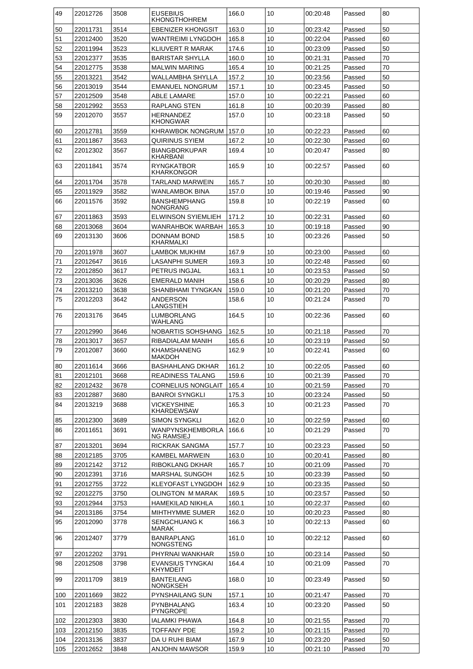| 49       | 22012726             | 3508         | <b>EUSEBIUS</b><br><b>KHONGTHOHREM</b>     | 166.0          | 10       | 00:20:48             | Passed           | 80       |
|----------|----------------------|--------------|--------------------------------------------|----------------|----------|----------------------|------------------|----------|
| 50       | 22011731             | 3514         | <b>EBENIZER KHONGSIT</b>                   | 163.0          | 10       | 00:23:42             | Passed           | 50       |
| 51       | 22012400             | 3520         | WANTREIMI LYNGDOH                          | 165.8          | 10       | 00:22:04             | Passed           | 60       |
| 52       | 22011994             | 3523         | KLIUVERT R MARAK                           | 174.6          | 10       | 00:23:09             | Passed           | 50       |
| 53       | 22012377             | 3535         | <b>BARISTAR SHYLLA</b>                     | 160.0          | 10       | 00:21:31             | Passed           | 70       |
| 54       | 22012775             | 3538         | <b>MALWIN MARING</b>                       | 165.4          | 10       | 00:21:25             | Passed           | 70       |
| 55       | 22013221             | 3542         | WALLAMBHA SHYLLA                           | 157.2          | 10       | 00:23:56             | Passed           | 50       |
| 56       | 22013019             | 3544         | <b>EMANUEL NONGRUM</b>                     | 157.1          | 10       | 00:23:45             | Passed           | 50       |
| 57       | 22012509             | 3548         | ABLE LAMARE                                | 157.0          | 10       | 00:22:21             | Passed           | 60       |
| 58       | 22012992             | 3553         | <b>RAPLANG STEN</b>                        | 161.8          | 10       | 00:20:39             | Passed           | 80       |
| 59       | 22012070             | 3557         | HERNANDEZ                                  | 157.0          | 10       | 00:23:18             | Passed           | 50       |
|          |                      |              | <b>KHONGWAR</b>                            |                |          |                      |                  |          |
| 60       | 22012781             | 3559         | KHRAWBOK NONGRUM                           | 157.0          | 10       | 00:22:23             | Passed           | 60       |
| 61       | 22011867             | 3563         | QUIRINUS SYIEM                             | 167.2          | 10       | 00:22:30             | Passed           | 60       |
| 62       | 22012302             | 3567         | <b>BIANGBORKUPAR</b><br>KHARBANI           | 169.4          | 10       | 00:20:47             | Passed           | 80       |
| 63       | 22011841             | 3574         | <b>RYNGKATBOR</b><br><b>KHARKONGOR</b>     | 165.9          | 10       | 00:22:57             | Passed           | 60       |
| 64       | 22011704             | 3578         | TARLAND MARWEIN                            | 165.7          | 10       | 00:20:30             | Passed           | 80       |
| 65       | 22011929             | 3582         | WANLAMBOK BINA                             | 157.0          | 10       | 00:19:46             | Passed           | 90       |
| 66       | 22011576             | 3592         | <b>BANSHEMPHANG</b><br><b>NONGRANG</b>     | 159.8          | 10       | 00:22:19             | Passed           | 60       |
| 67       | 22011863             | 3593         | <b>ELWINSON SYIEMLIEH</b>                  | 171.2          | 10       | 00:22:31             | Passed           | 60       |
| 68       | 22013068             | 3604         | WANRAHBOK WARBAH                           | 165.3          | 10       | 00:19:18             | Passed           | 90       |
| 69       | 22013130             | 3606         | <b>DONNAM BOND</b>                         | 158.5          | 10       | 00:23:26             | Passed           | 50       |
|          |                      |              | KHARMALKI                                  |                |          |                      |                  |          |
| 70       | 22011978             | 3607         | LAMBOK MUKHIM                              | 167.9          | 10       | 00:23:00             | Passed           | 60       |
| 71       | 22012647             | 3616         | LASANPHI SUMER                             | 169.3          | 10       | 00:22:48             | Passed           | 60       |
| 72       | 22012850             | 3617         | PETRUS INGJAL                              | 163.1          | 10       | 00:23:53             | Passed           | 50       |
| 73       | 22013036             | 3626         | <b>EMERALD MANIH</b>                       | 158.6          | 10       | 00:20:29             | Passed           | 80       |
| 74       | 22013210             | 3638         | SHANBHAMI TYNGKAN                          | 159.0          | 10       | 00:21:20             | Passed           | 70       |
| 75       | 22012203             | 3642         | <b>ANDERSON</b><br>LANGSTIEH               | 158.6          | 10       | 00:21:24             | Passed           | 70       |
| 76       | 22013176             | 3645         | LUMBORLANG<br>WAHLANG                      | 164.5          | 10       | 00:22:36             | Passed           | 60       |
| 77       | 22012990             | 3646         | NOBARTIS SOHSHANG                          | 162.5          | 10       | 00:21:18             | Passed           | 70       |
| 78       | 22013017             | 3657         | RIBADIALAM MANIH                           | 165.6          | 10       | 00:23:19             | Passed           | 50       |
| 79       | 22012087             | 3660         | <b>KHAMSHANENG</b><br>MAKDOH               | 162.9          | 10       | 00:22:41             | Passed           | 60       |
| 80       | 22011614             | 3666         | <b>BASHAHLANG DKHAR</b>                    | 161.2          | 10       | 00:22:05             | Passed           | 60       |
| 81       | 22012101             | 3668         | READINESS TALANG                           | 159.6          | 10       | 00:21:39             | Passed           | 70       |
| 82       | 22012432             | 3678         | CORNELIUS NONGLAIT                         | 165.4          | 10       | 00:21:59             | Passed           | 70       |
| 83       | 22012887             | 3680         | <b>BANROI SYNGKLI</b>                      | 175.3          | 10       | 00:23:24             | Passed           | 50       |
| 84       | 22013219             | 3688         | VICKEYSHINE                                | 165.3          | 10       | 00:21:23             | Passed           | 70       |
|          |                      |              | <b>KHARDEWSAW</b>                          |                |          |                      |                  |          |
| 85       | 22012300             | 3689         | <b>SIMON SYNGKLI</b>                       | 162.0          | 10       | 00:22:59             | Passed           | 60       |
| 86       | 22011651             | 3691         | WANPYNSKHEMBORLA                           | 166.6          | 10       | 00:21:29             | Passed           | 70       |
|          |                      |              | <b>NG RAMSIEJ</b>                          |                |          |                      |                  |          |
| 87       | 22013201             | 3694         | RICKRAK SANGMA                             | 157.7          | 10       | 00:23:23             | Passed           | 50       |
| 88       | 22012185             | 3705         | <b>KAMBEL MARWEIN</b>                      | 163.0          | 10       | 00:20:41             | Passed           | 80       |
| 89       | 22012142             | 3712         | RIBOKLANG DKHAR                            | 165.7          | 10       | 00:21:09             | Passed           | 70       |
| 90       | 22012391             | 3716         | <b>MARSHAL SUNGOH</b>                      | 162.5          | 10       | 00:23:39             | Passed           | 50       |
| 91       | 22012755             | 3722         | KLEYOFAST LYNGDOH                          | 162.9          | 10       | 00:23:35             | Passed           | 50       |
| 92       | 22012275             | 3750         | OLINGTON M MARAK                           | 169.5          | 10       | 00:23:57             | Passed           | 50       |
| 93<br>94 | 22012944<br>22013186 | 3753<br>3754 | <b>HAMEKILAD NIKHLA</b><br>MIHTHYMME SUMER | 160.1<br>162.0 | 10<br>10 | 00:22:37<br>00:20:23 | Passed<br>Passed | 60<br>80 |
|          |                      |              |                                            |                |          |                      |                  |          |
| 95       | 22012090             | 3778         | <b>SENGCHUANG K</b><br>MARAK               | 166.3          | 10       | 00:22:13             | Passed           | 60       |
| 96       | 22012407             | 3779         | BANRAPLANG<br>NONGSTENG                    | 161.0          | 10       | 00:22:12             | Passed           | 60       |
| 97       | 22012202             | 3791         | PHYRNAI WANKHAR                            | 159.0          | 10       | 00:23:14             | Passed           | 50       |
| 98       | 22012508             | 3798         | <b>EVANSIUS TYNGKAI</b><br><b>KHYMDEIT</b> | 164.4          | 10       | 00:21:09             | Passed           | 70       |
| 99       | 22011709             | 3819         | <b>BANTEILANG</b><br>NONGKSEH              | 168.0          | 10       | 00:23:49             | Passed           | 50       |
| 100      | 22011669             | 3822         | PYNSHAILANG SUN                            | 157.1          | 10       | 00:21:47             | Passed           | 70       |
| 101      | 22012183             | 3828         | PYNBHALANG                                 | 163.4          | 10       | 00:23:20             | Passed           | 50       |
|          |                      |              | <b>PYNGROPE</b>                            |                |          |                      |                  |          |
| 102      | 22012303             | 3830         | IALAMKI PHAWA                              | 164.8          | 10       | 00:21:55             | Passed           | 70       |
| 103      | 22012150             | 3835         | TOFFANY PDE                                | 159.2          | 10       | 00:21:15             | Passed           | 70       |
| 104      | 22013136             | 3837         | DA U RUHI BIAM                             | 167.9          | 10       | 00:23:20             | Passed           | 50       |
| 105      | 22012652             | 3848         | ANJOHN MAWSOR                              | 159.9          | 10       | 00:21:10             | Passed           | 70       |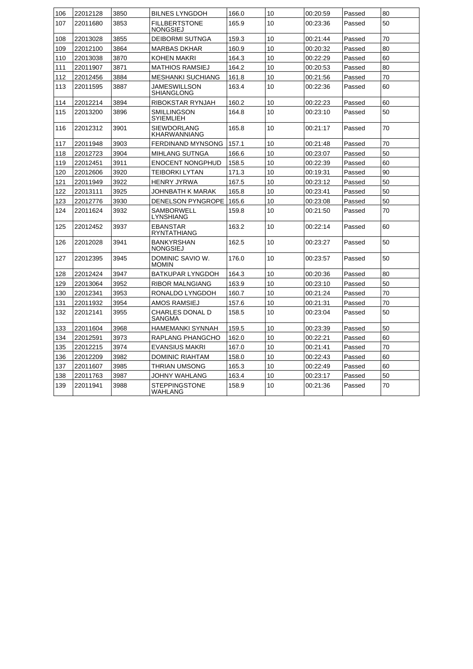| 106 | 22012128 | 3850 | <b>BILNES LYNGDOH</b>                   | 166.0 | 10 | 00:20:59 | Passed | 80 |
|-----|----------|------|-----------------------------------------|-------|----|----------|--------|----|
| 107 | 22011680 | 3853 | <b>FILLBERTSTONE</b><br>NONGSIEJ        | 165.9 | 10 | 00:23:36 | Passed | 50 |
| 108 | 22013028 | 3855 | <b>DEIBORMI SUTNGA</b>                  | 159.3 | 10 | 00:21:44 | Passed | 70 |
| 109 | 22012100 | 3864 | MARBAS DKHAR                            | 160.9 | 10 | 00:20:32 | Passed | 80 |
| 110 | 22013038 | 3870 | KOHEN MAKRI                             | 164.3 | 10 | 00:22:29 | Passed | 60 |
| 111 | 22011907 | 3871 | <b>MATHIOS RAMSIEJ</b>                  | 164.2 | 10 | 00:20:53 | Passed | 80 |
| 112 | 22012456 | 3884 | <b>MESHANKI SUCHIANG</b>                | 161.8 | 10 | 00:21:56 | Passed | 70 |
| 113 | 22011595 | 3887 | JAMESWILLSON<br>SHIANGLONG              | 163.4 | 10 | 00:22:36 | Passed | 60 |
| 114 | 22012214 | 3894 | RIBOKSTAR RYNJAH                        | 160.2 | 10 | 00:22:23 | Passed | 60 |
| 115 | 22013200 | 3896 | <b>SMILLINGSON</b><br><b>SYIEMLIEH</b>  | 164.8 | 10 | 00:23:10 | Passed | 50 |
| 116 | 22012312 | 3901 | <b>SIEWDORLANG</b><br>KHARWANNIANG      | 165.8 | 10 | 00:21:17 | Passed | 70 |
| 117 | 22011948 | 3903 | <b>FERDINAND MYNSONG</b>                | 157.1 | 10 | 00:21:48 | Passed | 70 |
| 118 | 22012723 | 3904 | <b>MIHLANG SUTNGA</b>                   | 166.6 | 10 | 00:23:07 | Passed | 50 |
| 119 | 22012451 | 3911 | <b>ENOCENT NONGPHUD</b>                 | 158.5 | 10 | 00:22:39 | Passed | 60 |
| 120 | 22012606 | 3920 | TEIBORKI LYTAN                          | 171.3 | 10 | 00:19:31 | Passed | 90 |
| 121 | 22011949 | 3922 | <b>HENRY JYRWA</b>                      | 167.5 | 10 | 00:23:12 | Passed | 50 |
| 122 | 22013111 | 3925 | JOHNBATH K MARAK                        | 165.8 | 10 | 00:23:41 | Passed | 50 |
| 123 | 22012776 | 3930 | <b>DENELSON PYNGROPE</b>                | 165.6 | 10 | 00:23:08 | Passed | 50 |
| 124 | 22011624 | 3932 | SAMBORWELL<br>LYNSHIANG                 | 159.8 | 10 | 00:21:50 | Passed | 70 |
| 125 | 22012452 | 3937 | <b>EBANSTAR</b><br>RYNTATHIANG          | 163.2 | 10 | 00:22:14 | Passed | 60 |
| 126 | 22012028 | 3941 | <b>BANKYRSHAN</b><br><b>NONGSIEJ</b>    | 162.5 | 10 | 00:23:27 | Passed | 50 |
| 127 | 22012395 | 3945 | DOMINIC SAVIO W.<br><b>MOMIN</b>        | 176.0 | 10 | 00:23:57 | Passed | 50 |
| 128 | 22012424 | 3947 | BATKUPAR LYNGDOH                        | 164.3 | 10 | 00:20:36 | Passed | 80 |
| 129 | 22013064 | 3952 | <b>RIBOR MALNGIANG</b>                  | 163.9 | 10 | 00:23:10 | Passed | 50 |
| 130 | 22012341 | 3953 | RONALDO LYNGDOH                         | 160.7 | 10 | 00:21:24 | Passed | 70 |
| 131 | 22011932 | 3954 | <b>AMOS RAMSIEJ</b>                     | 157.6 | 10 | 00:21:31 | Passed | 70 |
| 132 | 22012141 | 3955 | <b>CHARLES DONAL D</b><br><b>SANGMA</b> | 158.5 | 10 | 00:23:04 | Passed | 50 |
| 133 | 22011604 | 3968 | <b>HAMEMANKI SYNNAH</b>                 | 159.5 | 10 | 00:23:39 | Passed | 50 |
| 134 | 22012591 | 3973 | RAPLANG PHANGCHO                        | 162.0 | 10 | 00:22:21 | Passed | 60 |
| 135 | 22012215 | 3974 | <b>EVANSIUS MAKRI</b>                   | 167.0 | 10 | 00:21:41 | Passed | 70 |
| 136 | 22012209 | 3982 | <b>DOMINIC RIAHTAM</b>                  | 158.0 | 10 | 00:22:43 | Passed | 60 |
| 137 | 22011607 | 3985 | THRIAN UMSONG                           | 165.3 | 10 | 00:22:49 | Passed | 60 |
| 138 | 22011763 | 3987 | JOHNY WAHLANG                           | 163.4 | 10 | 00:23:17 | Passed | 50 |
| 139 | 22011941 | 3988 | <b>STEPPINGSTONE</b><br>WAHLANG         | 158.9 | 10 | 00:21:36 | Passed | 70 |